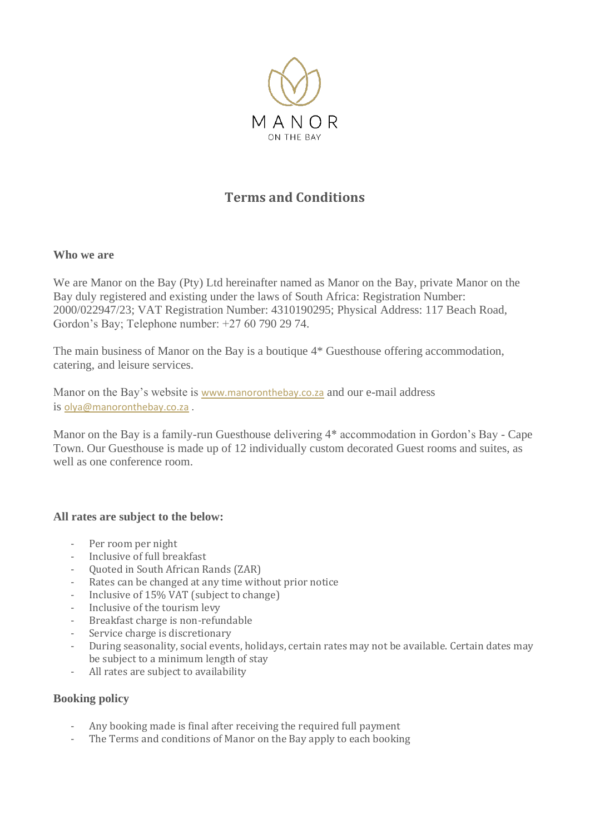

# **Terms and Conditions**

#### **Who we are**

We are Manor on the Bay (Pty) Ltd hereinafter named as Manor on the Bay, private Manor on the Bay duly registered and existing under the laws of South Africa: Registration Number: 2000/022947/23; VAT Registration Number: 4310190295; Physical Address: 117 Beach Road, Gordon's Bay; Telephone number: +27 60 790 29 74.

The main business of Manor on the Bay is a boutique 4\* Guesthouse offering accommodation, catering, and leisure services.

Manor on the Bay's website is [www.manoronthebay.co.za](http://www.manoronthebay.co.za/) and our e-mail address is [olya@manoronthebay.co.za](mailto:olya@manoronthebay.co.za) .

Manor on the Bay is a family-run Guesthouse delivering 4\* accommodation in Gordon's Bay - Cape Town. Our Guesthouse is made up of 12 individually custom decorated Guest rooms and suites, as well as one conference room.

#### **All rates are subject to the below:**

- Per room per night
- Inclusive of full breakfast
- Quoted in South African Rands (ZAR)
- Rates can be changed at any time without prior notice
- Inclusive of 15% VAT (subject to change)
- Inclusive of the tourism levy
- Breakfast charge is non-refundable
- Service charge is discretionary
- During seasonality, social events, holidays, certain rates may not be available. Certain dates may be subject to a minimum length of stay
- All rates are subject to availability

## **Booking policy**

- Any booking made is final after receiving the required full payment
- The Terms and conditions of Manor on the Bay apply to each booking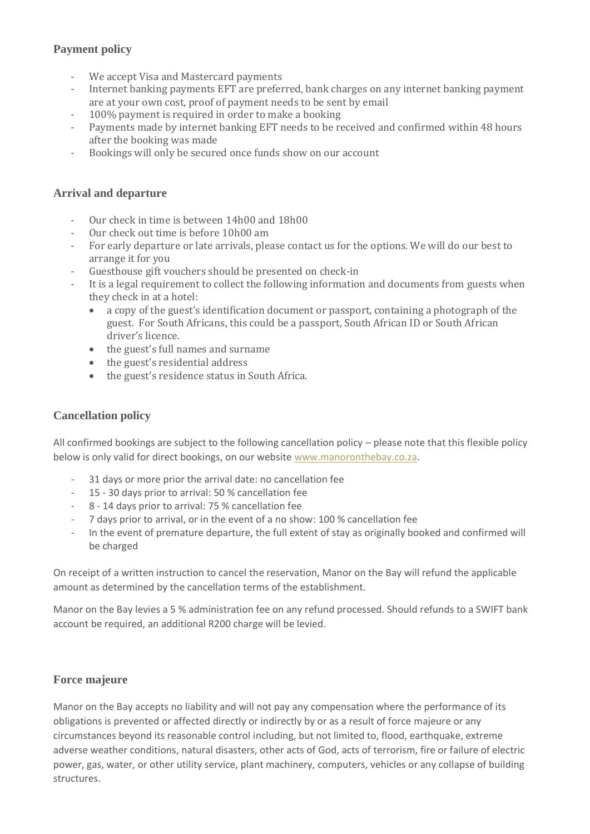# **Payment policy**

- We accept Visa and Mastercard payments
- Internet banking payments EFT are preferred, bank charges on any internet banking payment are at your own cost, proof of payment needs to be sent by email
- 100% payment is required in order to make a booking
- Payments made by internet banking EFT needs to be received and confirmed within 48 hours after the booking was made
- Bookings will only be secured once funds show on our account

### **Arrival and departure**

- Our check in time is between 14h00 and 18h00
- Our check out time is before 10h00 am
- For early departure or late arrivals, please contact us for the options. We will do our best to arrange it for you
- Guesthouse gift vouchers should be presented on check-in
- It is a legal requirement to collect the following information and documents from guests when they check in at a hotel:
	- a copy of the guest's identification document or passport, containing a photograph of the guest. For South Africans, this could be a passport, South African ID or South African driver's licence.
	- the guest's full names and surname
	- the guest's residential address
	- the guest's residence status in South Africa.

## **Cancellation policy**

All confirmed bookings are subject to the following cancellation policy – please note that this flexible policy below is only valid for direct bookings, on our website [www.manoronthebay.co.za.](http://www.manoronthebay.co.za/)

- 31 days or more prior the arrival date: no cancellation fee
- 15 30 days prior to arrival: 50 % cancellation fee
- 8 14 days prior to arrival: 75 % cancellation fee
- 7 days prior to arrival, or in the event of a no show: 100 % cancellation fee
- In the event of premature departure, the full extent of stay as originally booked and confirmed will be charged

On receipt of a written instruction to cancel the reservation, Manor on the Bay will refund the applicable amount as determined by the cancellation terms of the establishment.

Manor on the Bay levies a 5 % administration fee on any refund processed. Should refunds to a SWIFT bank account be required, an additional R200 charge will be levied.

## **Force majeure**

Manor on the Bay accepts no liability and will not pay any compensation where the performance of its obligations is prevented or affected directly or indirectly by or as a result of force majeure or any circumstances beyond its reasonable control including, but not limited to, flood, earthquake, extreme adverse weather conditions, natural disasters, other acts of God, acts of terrorism, fire or failure of electric power, gas, water, or other utility service, plant machinery, computers, vehicles or any collapse of building structures.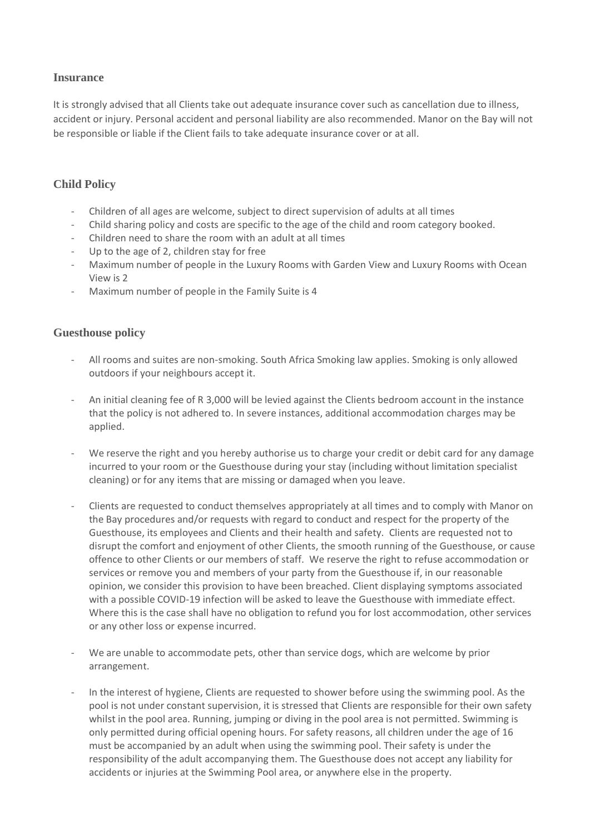#### **Insurance**

It is strongly advised that all Clients take out adequate insurance cover such as cancellation due to illness, accident or injury. Personal accident and personal liability are also recommended. Manor on the Bay will not be responsible or liable if the Client fails to take adequate insurance cover or at all.

# **Child Policy**

- Children of all ages are welcome, subject to direct supervision of adults at all times
- Child sharing policy and costs are specific to the age of the child and room category booked.
- Children need to share the room with an adult at all times
- Up to the age of 2, children stay for free
- Maximum number of people in the Luxury Rooms with Garden View and Luxury Rooms with Ocean View is 2
- Maximum number of people in the Family Suite is 4

#### **Guesthouse policy**

- All rooms and suites are non-smoking. South Africa Smoking law applies. Smoking is only allowed outdoors if your neighbours accept it.
- An initial cleaning fee of R 3,000 will be levied against the Clients bedroom account in the instance that the policy is not adhered to. In severe instances, additional accommodation charges may be applied.
- We reserve the right and you hereby authorise us to charge your credit or debit card for any damage incurred to your room or the Guesthouse during your stay (including without limitation specialist cleaning) or for any items that are missing or damaged when you leave.
- Clients are requested to conduct themselves appropriately at all times and to comply with Manor on the Bay procedures and/or requests with regard to conduct and respect for the property of the Guesthouse, its employees and Clients and their health and safety. Clients are requested not to disrupt the comfort and enjoyment of other Clients, the smooth running of the Guesthouse, or cause offence to other Clients or our members of staff. We reserve the right to refuse accommodation or services or remove you and members of your party from the Guesthouse if, in our reasonable opinion, we consider this provision to have been breached. Client displaying symptoms associated with a possible COVID-19 infection will be asked to leave the Guesthouse with immediate effect. Where this is the case shall have no obligation to refund you for lost accommodation, other services or any other loss or expense incurred.
- We are unable to accommodate pets, other than service dogs, which are welcome by prior arrangement.
- In the interest of hygiene, Clients are requested to shower before using the swimming pool. As the pool is not under constant supervision, it is stressed that Clients are responsible for their own safety whilst in the pool area. Running, jumping or diving in the pool area is not permitted. Swimming is only permitted during official opening hours. For safety reasons, all children under the age of 16 must be accompanied by an adult when using the swimming pool. Their safety is under the responsibility of the adult accompanying them. The Guesthouse does not accept any liability for accidents or injuries at the Swimming Pool area, or anywhere else in the property.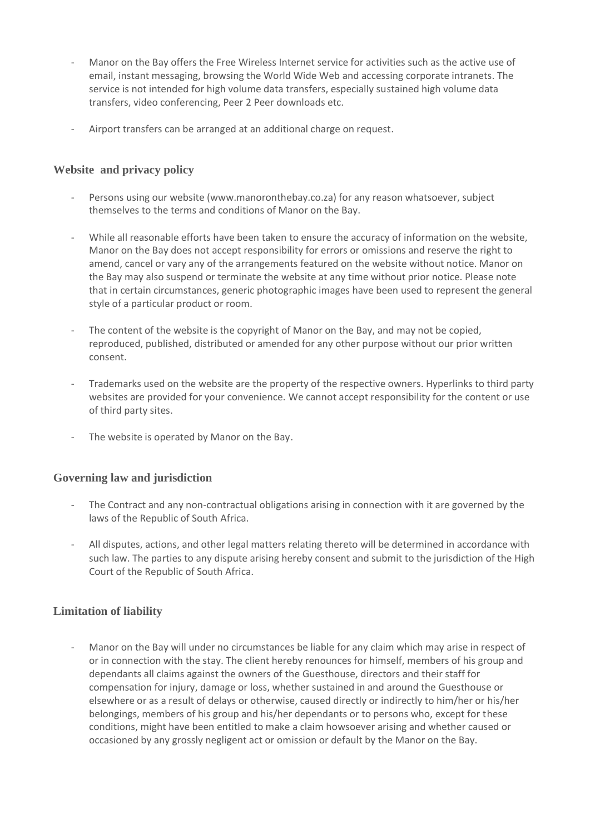- Manor on the Bay offers the Free Wireless Internet service for activities such as the active use of email, instant messaging, browsing the World Wide Web and accessing corporate intranets. The service is not intended for high volume data transfers, especially sustained high volume data transfers, video conferencing, Peer 2 Peer downloads etc.
- Airport transfers can be arranged at an additional charge on request.

#### **Website and privacy policy**

- Persons using our website (www.manoronthebay.co.za) for any reason whatsoever, subject themselves to the terms and conditions of Manor on the Bay.
- While all reasonable efforts have been taken to ensure the accuracy of information on the website, Manor on the Bay does not accept responsibility for errors or omissions and reserve the right to amend, cancel or vary any of the arrangements featured on the website without notice. Manor on the Bay may also suspend or terminate the website at any time without prior notice. Please note that in certain circumstances, generic photographic images have been used to represent the general style of a particular product or room.
- The content of the website is the copyright of Manor on the Bay, and may not be copied, reproduced, published, distributed or amended for any other purpose without our prior written consent.
- Trademarks used on the website are the property of the respective owners. Hyperlinks to third party websites are provided for your convenience. We cannot accept responsibility for the content or use of third party sites.
- The website is operated by Manor on the Bay.

#### **Governing law and jurisdiction**

- The Contract and any non-contractual obligations arising in connection with it are governed by the laws of the Republic of South Africa.
- All disputes, actions, and other legal matters relating thereto will be determined in accordance with such law. The parties to any dispute arising hereby consent and submit to the jurisdiction of the High Court of the Republic of South Africa.

#### **Limitation of liability**

Manor on the Bay will under no circumstances be liable for any claim which may arise in respect of or in connection with the stay. The client hereby renounces for himself, members of his group and dependants all claims against the owners of the Guesthouse, directors and their staff for compensation for injury, damage or loss, whether sustained in and around the Guesthouse or elsewhere or as a result of delays or otherwise, caused directly or indirectly to him/her or his/her belongings, members of his group and his/her dependants or to persons who, except for these conditions, might have been entitled to make a claim howsoever arising and whether caused or occasioned by any grossly negligent act or omission or default by the Manor on the Bay.